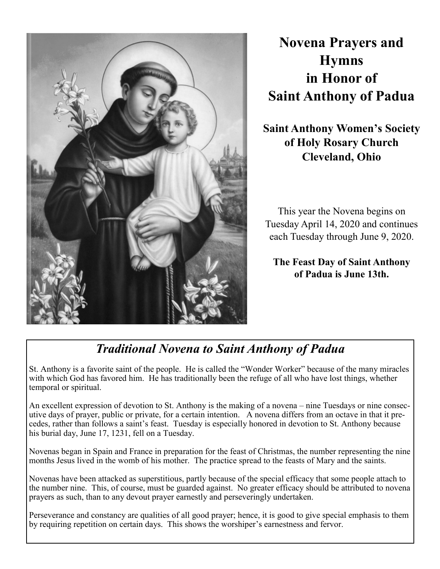

# **Novena Prayers and Hymns in Honor of Saint Anthony of Padua**

**Saint Anthony Women's Society of Holy Rosary Church Cleveland, Ohio**

This year the Novena begins on Tuesday April 14, 2020 and continues each Tuesday through June 9, 2020.

**The Feast Day of Saint Anthony of Padua is June 13th.** 

## *Traditional Novena to Saint Anthony of Padua*

St. Anthony is a favorite saint of the people. He is called the "Wonder Worker" because of the many miracles with which God has favored him. He has traditionally been the refuge of all who have lost things, whether temporal or spiritual.

An excellent expression of devotion to St. Anthony is the making of a novena – nine Tuesdays or nine consecutive days of prayer, public or private, for a certain intention. A novena differs from an octave in that it precedes, rather than follows a saint's feast. Tuesday is especially honored in devotion to St. Anthony because his burial day, June 17, 1231, fell on a Tuesday.

Novenas began in Spain and France in preparation for the feast of Christmas, the number representing the nine months Jesus lived in the womb of his mother. The practice spread to the feasts of Mary and the saints.

Novenas have been attacked as superstitious, partly because of the special efficacy that some people attach to the number nine. This, of course, must be guarded against. No greater efficacy should be attributed to novena prayers as such, than to any devout prayer earnestly and perseveringly undertaken.

Perseverance and constancy are qualities of all good prayer; hence, it is good to give special emphasis to them by requiring repetition on certain days. This shows the worshiper's earnestness and fervor.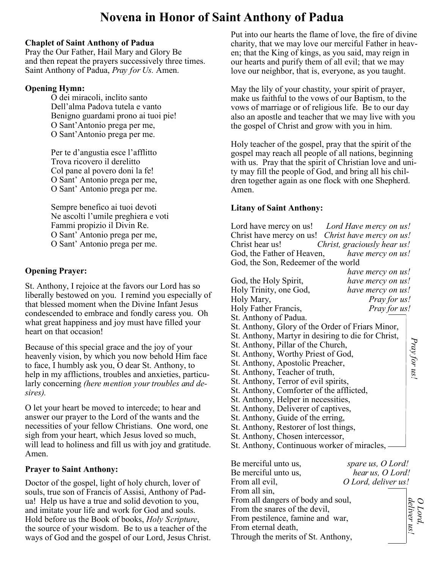## **Novena in Honor of Saint Anthony of Padua**

#### **Chaplet of Saint Anthony of Padua**

Pray the Our Father, Hail Mary and Glory Be and then repeat the prayers successively three times. Saint Anthony of Padua, *Pray for Us.* Amen.

#### **Opening Hymn:**

O dei miracoli, inclito santo Dell'alma Padova tutela e vanto Benigno guardami prono ai tuoi pie! O Sant'Antonio prega per me, O Sant'Antonio prega per me.

Per te d'angustia esce l'afflitto Trova ricovero il derelitto Col pane al povero doni la fe! O Sant' Antonio prega per me, O Sant' Antonio prega per me.

Sempre benefico ai tuoi devoti Ne ascolti l'umile preghiera e voti Fammi propizio il Divin Re. O Sant' Antonio prega per me, O Sant' Antonio prega per me.

#### **Opening Prayer:**

St. Anthony, I rejoice at the favors our Lord has so liberally bestowed on you. I remind you especially of that blessed moment when the Divine Infant Jesus condescended to embrace and fondly caress you. Oh what great happiness and joy must have filled your heart on that occasion!

Because of this special grace and the joy of your heavenly vision, by which you now behold Him face to face, I humbly ask you, O dear St. Anthony, to help in my afflictions, troubles and anxieties, particularly concerning *(here mention your troubles and desires).*

O let your heart be moved to intercede; to hear and answer our prayer to the Lord of the wants and the necessities of your fellow Christians. One word, one sigh from your heart, which Jesus loved so much, will lead to holiness and fill us with joy and gratitude. Amen.

#### **Prayer to Saint Anthony:**

Doctor of the gospel, light of holy church, lover of souls, true son of Francis of Assisi, Anthony of Padua! Help us have a true and solid devotion to you, and imitate your life and work for God and souls. Hold before us the Book of books, *Holy Scripture*, the source of your wisdom. Be to us a teacher of the ways of God and the gospel of our Lord, Jesus Christ. Put into our hearts the flame of love, the fire of divine charity, that we may love our merciful Father in heaven; that the King of kings, as you said, may reign in our hearts and purify them of all evil; that we may love our neighbor, that is, everyone, as you taught.

May the lily of your chastity, your spirit of prayer, make us faithful to the vows of our Baptism, to the vows of marriage or of religious life. Be to our day also an apostle and teacher that we may live with you the gospel of Christ and grow with you in him.

Holy teacher of the gospel, pray that the spirit of the gospel may reach all people of all nations, beginning with us. Pray that the spirit of Christian love and unity may fill the people of God, and bring all his children together again as one flock with one Shepherd. Amen.

#### **Litany of Saint Anthony:**

Lord have mercy on us! *Lord Have mercy on us!* Christ have mercy on us! *Christ have mercy on us!* Christ hear us! *Christ, graciously hear us!* God, the Father of Heaven, *have mercy on us!* God, the Son, Redeemer of the world

|                                                    | have mercy on us! |              |
|----------------------------------------------------|-------------------|--------------|
| God, the Holy Spirit,                              | have mercy on us! |              |
| Holy Trinity, one God,                             | have mercy on us! |              |
| Holy Mary,                                         | Pray for us!      |              |
| Holy Father Francis,                               | Pray for us!      |              |
| St. Anthony of Padua.                              |                   |              |
| St. Anthony, Glory of the Order of Friars Minor,   |                   |              |
| St. Anthony, Martyr in desiring to die for Christ, |                   |              |
| St. Anthony, Pillar of the Church,                 |                   |              |
| St. Anthony, Worthy Priest of God,                 |                   |              |
| St. Anthony, Apostolic Preacher,                   |                   | Pray for us: |
| St. Anthony, Teacher of truth,                     |                   |              |
| St. Anthony, Terror of evil spirits,               |                   |              |
| St. Anthony, Comforter of the afflicted,           |                   |              |
| St. Anthony, Helper in necessities,                |                   |              |
| St. Anthony, Deliverer of captives,                |                   |              |
| St. Anthony, Guide of the erring,                  |                   |              |
| St. Anthony, Restorer of lost things,              |                   |              |
| St. Anthony, Chosen intercessor,                   |                   |              |
| St. Anthony, Continuous worker of miracles,        |                   |              |
|                                                    |                   |              |
|                                                    |                   |              |

Be merciful unto us, *spare us, O Lord!* Be merciful unto us, *hear us, O Lord!* From all evil,  $O$  *Lord, deliver us!* From all sin, From all dangers of body and soul, From the snares of the devil, From pestilence, famine and war, From eternal death, Through the merits of St. Anthony, *deliver us! O Lord,*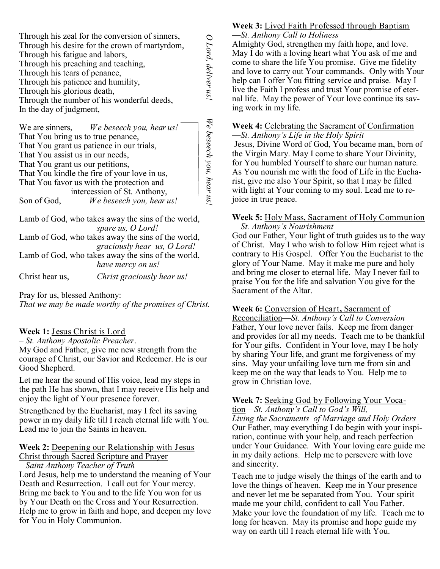| Through his zeal for the conversion of sinners,<br>Through his desire for the crown of martyrdom,<br>Through his fatigue and labors,<br>Through his preaching and teaching,<br>Through his tears of penance,<br>Through his patience and humility,<br>Through his glorious death,<br>Through the number of his wonderful deeds,<br>In the day of judgment,                     | Lord, deliver us!        |
|--------------------------------------------------------------------------------------------------------------------------------------------------------------------------------------------------------------------------------------------------------------------------------------------------------------------------------------------------------------------------------|--------------------------|
| We beseech you, hear us!<br>We are sinners,<br>That You bring us to true penance,<br>That You grant us patience in our trials,<br>That You assist us in our needs,<br>That You grant us our petitions,<br>That You kindle the fire of your love in us,<br>That You favor us with the protection and<br>intercession of St. Anthony,<br>We beseech you, hear us!<br>Son of God, | We beseech you, hear us! |
| Lamb of God, who takes away the sins of the world,<br>spare us, O Lord!                                                                                                                                                                                                                                                                                                        |                          |
| Lamb of God, who takes away the sins of the world,<br>graciously hear us, O Lord!<br>$T = 1$ $0 \cap 1$ $1 \cdot 1$                                                                                                                                                                                                                                                            |                          |

Lamb of God, who takes away the sins of the world, *have mercy on us!*

Christ hear us, *Christ graciously hear us!*

Pray for us, blessed Anthony:

*That we may be made worthy of the promises of Christ.*

#### **Week 1:** Jesus Christ is Lord

– *St. Anthony Apostolic Preacher*.

My God and Father, give me new strength from the courage of Christ, our Savior and Redeemer. He is our Good Shepherd.

Let me hear the sound of His voice, lead my steps in the path He has shown, that I may receive His help and enjoy the light of Your presence forever.

Strengthened by the Eucharist, may I feel its saving power in my daily life till I reach eternal life with You. Lead me to join the Saints in heaven.

#### **Week 2:** Deepening our Relationship with Jesus Christ through Sacred Scripture and Prayer

– *Saint Anthony Teacher of Truth*

Lord Jesus, help me to understand the meaning of Your Death and Resurrection. I call out for Your mercy. Bring me back to You and to the life You won for us by Your Death on the Cross and Your Resurrection. Help me to grow in faith and hope, and deepen my love for You in Holy Communion.

#### **Week 3:** Lived Faith Professed through Baptism —*St. Anthony Call to Holiness*

Almighty God, strengthen my faith hope, and love. May I do with a loving heart what You ask of me and come to share the life You promise. Give me fidelity and love to carry out Your commands. Only with Your help can I offer You fitting service and praise. May I live the Faith I profess and trust Your promise of eternal life. May the power of Your love continue its saving work in my life.

#### **Week 4:** Celebrating the Sacrament of Confirmation —*St. Anthony's Life in the Holy Spirit*

Jesus, Divine Word of God, You became man, born of the Virgin Mary. May I come to share Your Divinity, for You humbled Yourself to share our human nature. As You nourish me with the food of Life in the Eucharist, give me also Your Spirit, so that I may be filled with light at Your coming to my soul. Lead me to rejoice in true peace.

#### **Week 5:** Holy Mass, Sacrament of Holy Communion —*St. Anthony's Nourishment*

God our Father, Your light of truth guides us to the way of Christ. May I who wish to follow Him reject what is contrary to His Gospel. Offer You the Eucharist to the glory of Your Name. May it make me pure and holy and bring me closer to eternal life. May I never fail to praise You for the life and salvation You give for the Sacrament of the Altar.

#### **Week 6:** Conversion of Heart**,** Sacrament of

Reconciliation—*St. Anthony's Call to Conversion* Father, Your love never fails. Keep me from danger and provides for all my needs. Teach me to be thankful for Your gifts. Confident in Your love, may I be holy by sharing Your life, and grant me forgiveness of my sins. May your unfailing love turn me from sin and keep me on the way that leads to You. Help me to grow in Christian love.

### **Week 7:** Seeking God by Following Your Voca-

tion—*St. Anthony's Call to God's Will, Living the Sacraments of Marriage and Holy Orders* Our Father, may everything I do begin with your inspiration, continue with your help, and reach perfection under Your Guidance. With Your loving care guide me in my daily actions. Help me to persevere with love and sincerity.

Teach me to judge wisely the things of the earth and to love the things of heaven. Keep me in Your presence and never let me be separated from You. Your spirit made me your child, confident to call You Father. Make your love the foundation of my life. Teach me to long for heaven. May its promise and hope guide my way on earth till I reach eternal life with You.